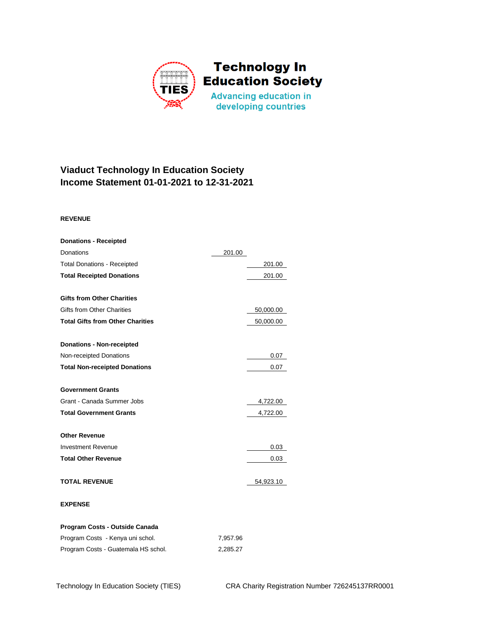

## **Viaduct Technology In Education Society Income Statement 01-01-2021 to 12-31-2021**

## **REVENUE**

| <b>Donations - Receipted</b>            |        |           |
|-----------------------------------------|--------|-----------|
| <b>Donations</b>                        | 201.00 |           |
| <b>Total Donations - Receipted</b>      |        | 201.00    |
| <b>Total Receipted Donations</b>        |        | 201.00    |
|                                         |        |           |
| <b>Gifts from Other Charities</b>       |        |           |
| <b>Gifts from Other Charities</b>       |        | 50,000.00 |
| <b>Total Gifts from Other Charities</b> |        | 50,000.00 |
| <b>Donations - Non-receipted</b>        |        |           |
| Non-receipted Donations                 |        | 0.07      |
| <b>Total Non-receipted Donations</b>    |        | 0.07      |
| <b>Government Grants</b>                |        |           |
| Grant - Canada Summer Jobs              |        | 4,722.00  |
| <b>Total Government Grants</b>          |        | 4,722.00  |
| <b>Other Revenue</b>                    |        |           |
| <b>Investment Revenue</b>               |        | 0.03      |
| <b>Total Other Revenue</b>              |        | 0.03      |
| <b>TOTAL REVENUE</b>                    |        | 54,923.10 |
| <b>EXPENSE</b>                          |        |           |
|                                         |        |           |

| Program Costs - Outside Canada      |          |
|-------------------------------------|----------|
| Program Costs - Kenya uni schol.    | 7.957.96 |
| Program Costs - Guatemala HS schol. | 2.285.27 |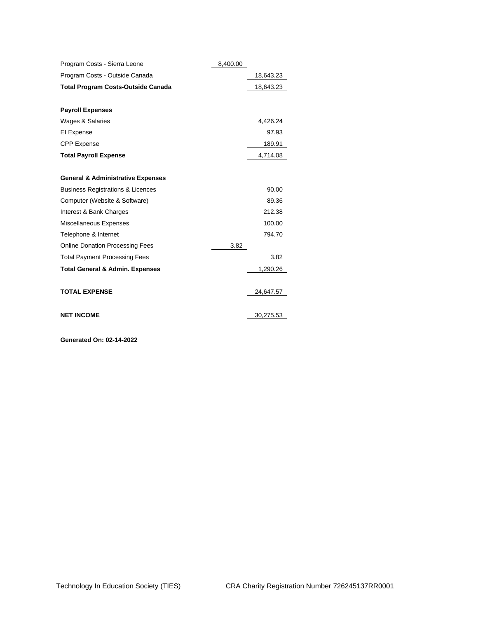| Program Costs - Sierra Leone                 | 8,400.00 |           |
|----------------------------------------------|----------|-----------|
| Program Costs - Outside Canada               |          | 18,643.23 |
| <b>Total Program Costs-Outside Canada</b>    |          | 18,643.23 |
| <b>Payroll Expenses</b>                      |          |           |
| Wages & Salaries                             |          | 4,426.24  |
| El Expense                                   |          | 97.93     |
| <b>CPP Expense</b>                           |          | 189.91    |
| <b>Total Payroll Expense</b>                 |          | 4,714.08  |
| <b>General &amp; Administrative Expenses</b> |          |           |
| <b>Business Registrations &amp; Licences</b> |          | 90.00     |
| Computer (Website & Software)                |          | 89.36     |
| Interest & Bank Charges                      |          | 212.38    |
| Miscellaneous Expenses                       |          | 100.00    |
| Telephone & Internet                         |          | 794.70    |
| <b>Online Donation Processing Fees</b>       | 3.82     |           |
| <b>Total Payment Processing Fees</b>         |          | 3.82      |
| <b>Total General &amp; Admin. Expenses</b>   |          | 1,290.26  |
| <b>TOTAL EXPENSE</b>                         |          | 24,647.57 |
| <b>NET INCOME</b>                            |          | 30,275.53 |

**Generated On: 02-14-2022**